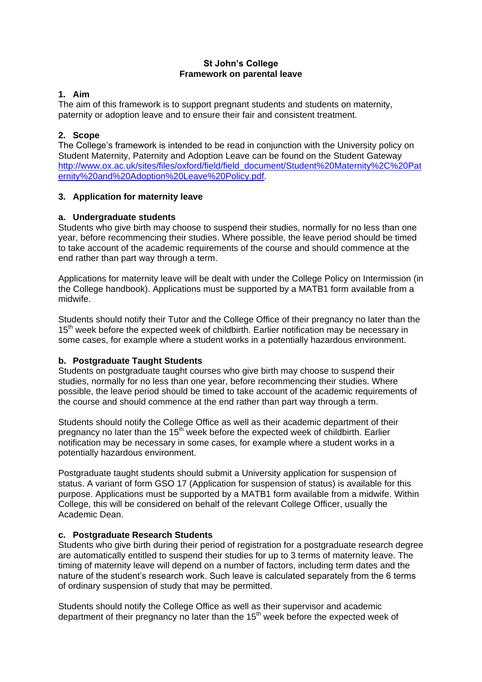# **St John's College Framework on parental leave**

# **1. Aim**

The aim of this framework is to support pregnant students and students on maternity, paternity or adoption leave and to ensure their fair and consistent treatment.

# **2. Scope**

The College's framework is intended to be read in conjunction with the University policy on Student Maternity, Paternity and Adoption Leave can be found on the Student Gateway [http://www.ox.ac.uk/sites/files/oxford/field/field\\_document/Student%20Maternity%2C%20Pat](http://www.ox.ac.uk/sites/files/oxford/field/field_document/Student%20Maternity%2C%20Paternity%20and%20Adoption%20Leave%20Policy.pdf) [ernity%20and%20Adoption%20Leave%20Policy.pdf.](http://www.ox.ac.uk/sites/files/oxford/field/field_document/Student%20Maternity%2C%20Paternity%20and%20Adoption%20Leave%20Policy.pdf)

## **3. Application for maternity leave**

## **a. Undergraduate students**

Students who give birth may choose to suspend their studies, normally for no less than one year, before recommencing their studies. Where possible, the leave period should be timed to take account of the academic requirements of the course and should commence at the end rather than part way through a term.

Applications for maternity leave will be dealt with under the College Policy on Intermission (in the College handbook). Applications must be supported by a MATB1 form available from a midwife.

Students should notify their Tutor and the College Office of their pregnancy no later than the 15<sup>th</sup> week before the expected week of childbirth. Earlier notification may be necessary in some cases, for example where a student works in a potentially hazardous environment.

# **b. Postgraduate Taught Students**

Students on postgraduate taught courses who give birth may choose to suspend their studies, normally for no less than one year, before recommencing their studies. Where possible, the leave period should be timed to take account of the academic requirements of the course and should commence at the end rather than part way through a term.

Students should notify the College Office as well as their academic department of their pregnancy no later than the 15<sup>th</sup> week before the expected week of childbirth. Earlier notification may be necessary in some cases, for example where a student works in a potentially hazardous environment.

Postgraduate taught students should submit a University application for suspension of status. A variant of form GSO 17 (Application for suspension of status) is available for this purpose. Applications must be supported by a MATB1 form available from a midwife. Within College, this will be considered on behalf of the relevant College Officer, usually the Academic Dean.

### **c. Postgraduate Research Students**

Students who give birth during their period of registration for a postgraduate research degree are automatically entitled to suspend their studies for up to 3 terms of maternity leave. The timing of maternity leave will depend on a number of factors, including term dates and the nature of the student's research work. Such leave is calculated separately from the 6 terms of ordinary suspension of study that may be permitted.

Students should notify the College Office as well as their supervisor and academic department of their pregnancy no later than the  $15<sup>th</sup>$  week before the expected week of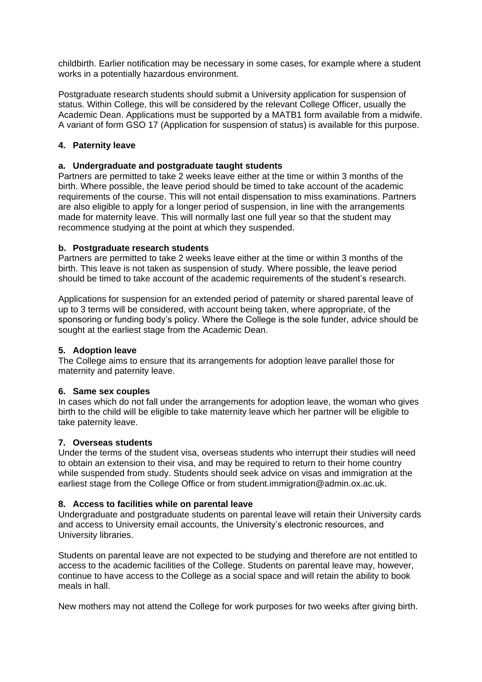childbirth. Earlier notification may be necessary in some cases, for example where a student works in a potentially hazardous environment.

Postgraduate research students should submit a University application for suspension of status. Within College, this will be considered by the relevant College Officer, usually the Academic Dean. Applications must be supported by a MATB1 form available from a midwife. A variant of form GSO 17 (Application for suspension of status) is available for this purpose.

# **4. Paternity leave**

## **a. Undergraduate and postgraduate taught students**

Partners are permitted to take 2 weeks leave either at the time or within 3 months of the birth. Where possible, the leave period should be timed to take account of the academic requirements of the course. This will not entail dispensation to miss examinations. Partners are also eligible to apply for a longer period of suspension, in line with the arrangements made for maternity leave. This will normally last one full year so that the student may recommence studying at the point at which they suspended.

## **b. Postgraduate research students**

Partners are permitted to take 2 weeks leave either at the time or within 3 months of the birth. This leave is not taken as suspension of study. Where possible, the leave period should be timed to take account of the academic requirements of the student's research.

Applications for suspension for an extended period of paternity or shared parental leave of up to 3 terms will be considered, with account being taken, where appropriate, of the sponsoring or funding body's policy. Where the College is the sole funder, advice should be sought at the earliest stage from the Academic Dean.

## **5. Adoption leave**

The College aims to ensure that its arrangements for adoption leave parallel those for maternity and paternity leave.

### **6. Same sex couples**

In cases which do not fall under the arrangements for adoption leave, the woman who gives birth to the child will be eligible to take maternity leave which her partner will be eligible to take paternity leave.

### **7. Overseas students**

Under the terms of the student visa, overseas students who interrupt their studies will need to obtain an extension to their visa, and may be required to return to their home country while suspended from study. Students should seek advice on visas and immigration at the earliest stage from the College Office or from student.immigration@admin.ox.ac.uk.

### **8. Access to facilities while on parental leave**

Undergraduate and postgraduate students on parental leave will retain their University cards and access to University email accounts, the University's electronic resources, and University libraries.

Students on parental leave are not expected to be studying and therefore are not entitled to access to the academic facilities of the College. Students on parental leave may, however, continue to have access to the College as a social space and will retain the ability to book meals in hall.

New mothers may not attend the College for work purposes for two weeks after giving birth.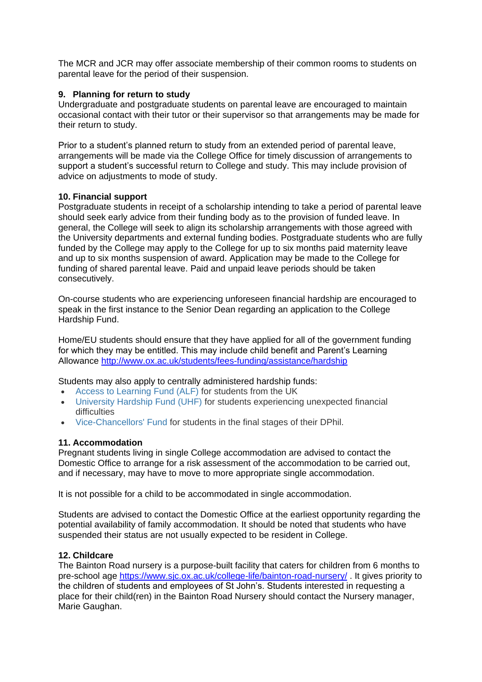The MCR and JCR may offer associate membership of their common rooms to students on parental leave for the period of their suspension.

# **9. Planning for return to study**

Undergraduate and postgraduate students on parental leave are encouraged to maintain occasional contact with their tutor or their supervisor so that arrangements may be made for their return to study.

Prior to a student's planned return to study from an extended period of parental leave, arrangements will be made via the College Office for timely discussion of arrangements to support a student's successful return to College and study. This may include provision of advice on adjustments to mode of study.

## **10. Financial support**

Postgraduate students in receipt of a scholarship intending to take a period of parental leave should seek early advice from their funding body as to the provision of funded leave. In general, the College will seek to align its scholarship arrangements with those agreed with the University departments and external funding bodies. Postgraduate students who are fully funded by the College may apply to the College for up to six months paid maternity leave and up to six months suspension of award. Application may be made to the College for funding of shared parental leave. Paid and unpaid leave periods should be taken consecutively.

On-course students who are experiencing unforeseen financial hardship are encouraged to speak in the first instance to the Senior Dean regarding an application to the College Hardship Fund.

Home/EU students should ensure that they have applied for all of the government funding for which they may be entitled. This may include child benefit and Parent's Learning Allowance<http://www.ox.ac.uk/students/fees-funding/assistance/hardship>

Students may also apply to centrally administered hardship funds:

- [Access to Learning Fund \(ALF\)](http://www.ox.ac.uk/students/fees-funding/assistance/hardship/alf) for students from the UK
- [University Hardship Fund \(UHF\)](http://www.ox.ac.uk/students/fees-funding/assistance/hardship/uhf) for students experiencing unexpected financial difficulties
- [Vice-Chancellors' Fund](http://www.ox.ac.uk/students/fees-funding/assistance/hardship/vcf) for students in the final stages of their DPhil.

### **11. Accommodation**

Pregnant students living in single College accommodation are advised to contact the Domestic Office to arrange for a risk assessment of the accommodation to be carried out, and if necessary, may have to move to more appropriate single accommodation.

It is not possible for a child to be accommodated in single accommodation.

Students are advised to contact the Domestic Office at the earliest opportunity regarding the potential availability of family accommodation. It should be noted that students who have suspended their status are not usually expected to be resident in College.

### **12. Childcare**

The Bainton Road nursery is a purpose-built facility that caters for children from 6 months to pre-school age <https://www.sjc.ox.ac.uk/college-life/bainton-road-nursery/> . It gives priority to the children of students and employees of St John's. Students interested in requesting a place for their child(ren) in the Bainton Road Nursery should contact the Nursery manager, Marie Gaughan.